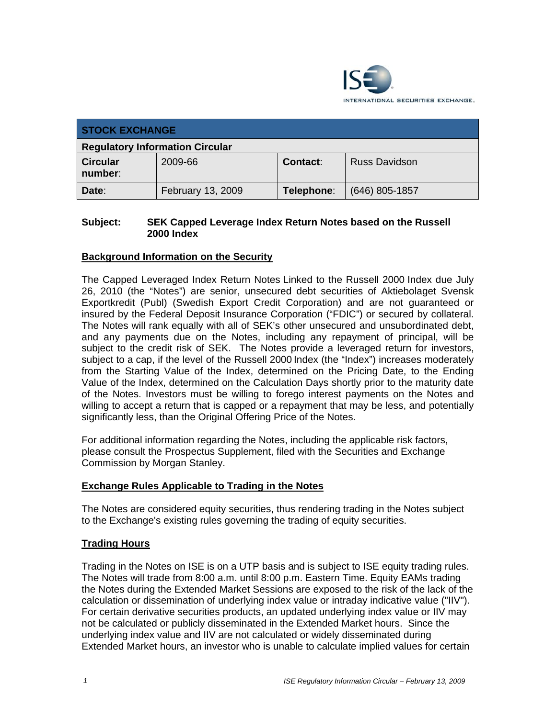

| <b>STOCK EXCHANGE</b>                  |                   |            |                      |
|----------------------------------------|-------------------|------------|----------------------|
| <b>Regulatory Information Circular</b> |                   |            |                      |
| <b>Circular</b><br>number:             | 2009-66           | Contact:   | <b>Russ Davidson</b> |
| Date:                                  | February 13, 2009 | Telephone: | $(646)$ 805-1857     |

## **Subject: SEK Capped Leverage Index Return Notes based on the Russell 2000 Index**

## **Background Information on the Security**

The Capped Leveraged Index Return Notes Linked to the Russell 2000 Index due July 26, 2010 (the "Notes") are senior, unsecured debt securities of Aktiebolaget Svensk Exportkredit (Publ) (Swedish Export Credit Corporation) and are not guaranteed or insured by the Federal Deposit Insurance Corporation ("FDIC") or secured by collateral. The Notes will rank equally with all of SEK's other unsecured and unsubordinated debt, and any payments due on the Notes, including any repayment of principal, will be subject to the credit risk of SEK. The Notes provide a leveraged return for investors, subject to a cap, if the level of the Russell 2000 Index (the "Index") increases moderately from the Starting Value of the Index, determined on the Pricing Date, to the Ending Value of the Index, determined on the Calculation Days shortly prior to the maturity date of the Notes. Investors must be willing to forego interest payments on the Notes and willing to accept a return that is capped or a repayment that may be less, and potentially significantly less, than the Original Offering Price of the Notes.

For additional information regarding the Notes, including the applicable risk factors, please consult the Prospectus Supplement, filed with the Securities and Exchange Commission by Morgan Stanley.

## **Exchange Rules Applicable to Trading in the Notes**

The Notes are considered equity securities, thus rendering trading in the Notes subject to the Exchange's existing rules governing the trading of equity securities.

## **Trading Hours**

Trading in the Notes on ISE is on a UTP basis and is subject to ISE equity trading rules. The Notes will trade from 8:00 a.m. until 8:00 p.m. Eastern Time. Equity EAMs trading the Notes during the Extended Market Sessions are exposed to the risk of the lack of the calculation or dissemination of underlying index value or intraday indicative value ("IIV"). For certain derivative securities products, an updated underlying index value or IIV may not be calculated or publicly disseminated in the Extended Market hours. Since the underlying index value and IIV are not calculated or widely disseminated during Extended Market hours, an investor who is unable to calculate implied values for certain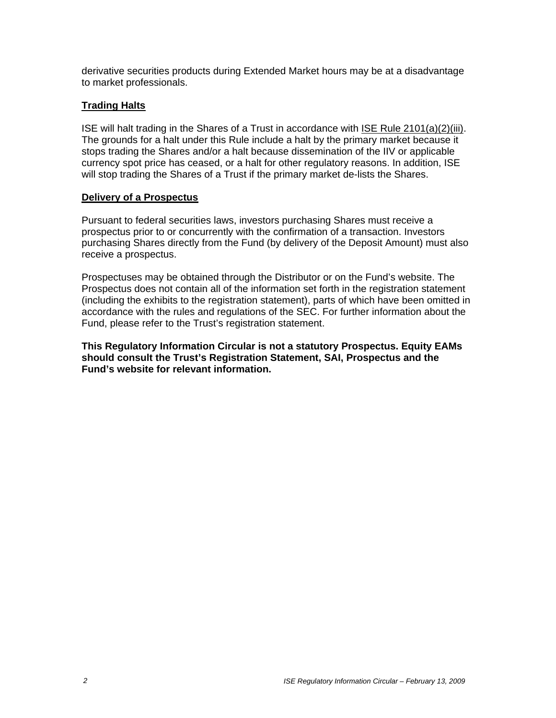derivative securities products during Extended Market hours may be at a disadvantage to market professionals.

## **Trading Halts**

ISE will halt trading in the Shares of a Trust in accordance with ISE Rule 2101(a)(2)(iii). The grounds for a halt under this Rule include a halt by the primary market because it stops trading the Shares and/or a halt because dissemination of the IIV or applicable currency spot price has ceased, or a halt for other regulatory reasons. In addition, ISE will stop trading the Shares of a Trust if the primary market de-lists the Shares.

## **Delivery of a Prospectus**

Pursuant to federal securities laws, investors purchasing Shares must receive a prospectus prior to or concurrently with the confirmation of a transaction. Investors purchasing Shares directly from the Fund (by delivery of the Deposit Amount) must also receive a prospectus.

Prospectuses may be obtained through the Distributor or on the Fund's website. The Prospectus does not contain all of the information set forth in the registration statement (including the exhibits to the registration statement), parts of which have been omitted in accordance with the rules and regulations of the SEC. For further information about the Fund, please refer to the Trust's registration statement.

**This Regulatory Information Circular is not a statutory Prospectus. Equity EAMs should consult the Trust's Registration Statement, SAI, Prospectus and the Fund's website for relevant information.**